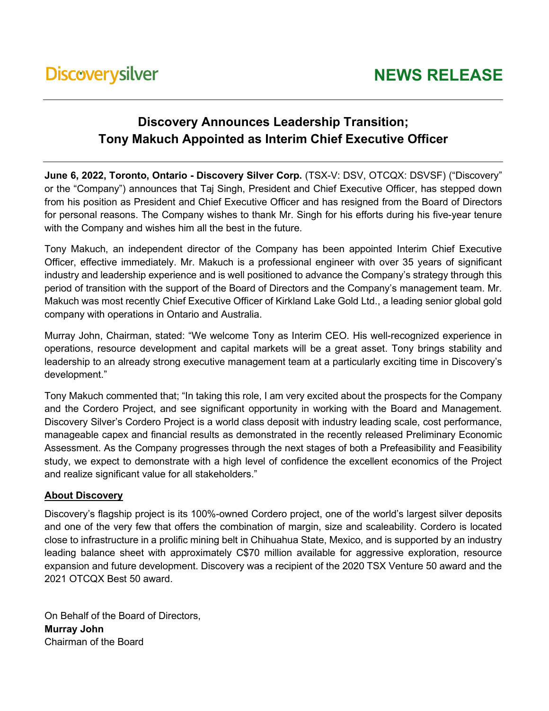## **Discovery Announces Leadership Transition; Tony Makuch Appointed as Interim Chief Executive Officer**

**June 6, 2022, Toronto, Ontario - Discovery Silver Corp.** (TSX-V: DSV, OTCQX: DSVSF) ("Discovery" or the "Company") announces that Taj Singh, President and Chief Executive Officer, has stepped down from his position as President and Chief Executive Officer and has resigned from the Board of Directors for personal reasons. The Company wishes to thank Mr. Singh for his efforts during his five-year tenure with the Company and wishes him all the best in the future.

Tony Makuch, an independent director of the Company has been appointed Interim Chief Executive Officer, effective immediately. Mr. Makuch is a professional engineer with over 35 years of significant industry and leadership experience and is well positioned to advance the Company's strategy through this period of transition with the support of the Board of Directors and the Company's management team. Mr. Makuch was most recently Chief Executive Officer of Kirkland Lake Gold Ltd., a leading senior global gold company with operations in Ontario and Australia.

Murray John, Chairman, stated: "We welcome Tony as Interim CEO. His well-recognized experience in operations, resource development and capital markets will be a great asset. Tony brings stability and leadership to an already strong executive management team at a particularly exciting time in Discovery's development."

Tony Makuch commented that; "In taking this role, I am very excited about the prospects for the Company and the Cordero Project, and see significant opportunity in working with the Board and Management. Discovery Silver's Cordero Project is a world class deposit with industry leading scale, cost performance, manageable capex and financial results as demonstrated in the recently released Preliminary Economic Assessment. As the Company progresses through the next stages of both a Prefeasibility and Feasibility study, we expect to demonstrate with a high level of confidence the excellent economics of the Project and realize significant value for all stakeholders."

## **About Discovery**

Discovery's flagship project is its 100%-owned Cordero project, one of the world's largest silver deposits and one of the very few that offers the combination of margin, size and scaleability. Cordero is located close to infrastructure in a prolific mining belt in Chihuahua State, Mexico, and is supported by an industry leading balance sheet with approximately C\$70 million available for aggressive exploration, resource expansion and future development. Discovery was a recipient of the 2020 TSX Venture 50 award and the 2021 OTCQX Best 50 award.

On Behalf of the Board of Directors, **Murray John** Chairman of the Board